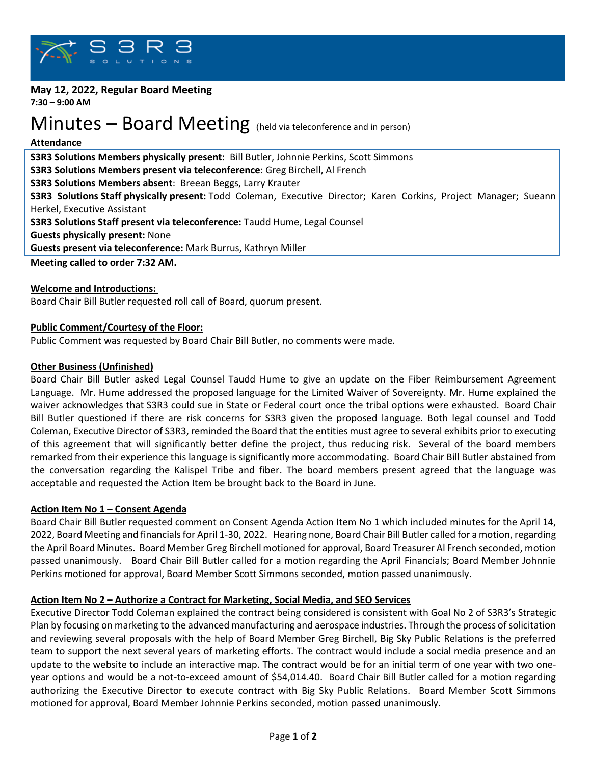

#### **May 12, 2022, Regular Board Meeting 7:30 – 9:00 AM**

# Minutes – Board Meeting (held via teleconference and in person)

#### **Attendance**

**S3R3 Solutions Members physically present:** Bill Butler, Johnnie Perkins, Scott Simmons **S3R3 Solutions Members present via teleconference**: Greg Birchell, Al French **S3R3 Solutions Members absent**: Breean Beggs, Larry Krauter **S3R3 Solutions Staff physically present:** Todd Coleman, Executive Director; Karen Corkins, Project Manager; Sueann Herkel, Executive Assistant **S3R3 Solutions Staff present via teleconference:** Taudd Hume, Legal Counsel **Guests physically present:** None **Guests present via teleconference:** Mark Burrus, Kathryn Miller

**Meeting called to order 7:32 AM.**

## **Welcome and Introductions:**

Board Chair Bill Butler requested roll call of Board, quorum present.

## **Public Comment/Courtesy of the Floor:**

Public Comment was requested by Board Chair Bill Butler, no comments were made.

## **Other Business (Unfinished)**

Board Chair Bill Butler asked Legal Counsel Taudd Hume to give an update on the Fiber Reimbursement Agreement Language. Mr. Hume addressed the proposed language for the Limited Waiver of Sovereignty. Mr. Hume explained the waiver acknowledges that S3R3 could sue in State or Federal court once the tribal options were exhausted. Board Chair Bill Butler questioned if there are risk concerns for S3R3 given the proposed language. Both legal counsel and Todd Coleman, Executive Director of S3R3, reminded the Board that the entities must agree to several exhibits prior to executing of this agreement that will significantly better define the project, thus reducing risk. Several of the board members remarked from their experience this language is significantly more accommodating. Board Chair Bill Butler abstained from the conversation regarding the Kalispel Tribe and fiber. The board members present agreed that the language was acceptable and requested the Action Item be brought back to the Board in June.

## **Action Item No 1 – Consent Agenda**

Board Chair Bill Butler requested comment on Consent Agenda Action Item No 1 which included minutes for the April 14, 2022, Board Meeting and financials for April 1-30, 2022. Hearing none, Board Chair Bill Butler called for a motion, regarding the April Board Minutes. Board Member Greg Birchell motioned for approval, Board Treasurer Al French seconded, motion passed unanimously. Board Chair Bill Butler called for a motion regarding the April Financials; Board Member Johnnie Perkins motioned for approval, Board Member Scott Simmons seconded, motion passed unanimously.

## **Action Item No 2 – Authorize a Contract for Marketing, Social Media, and SEO Services**

Executive Director Todd Coleman explained the contract being considered is consistent with Goal No 2 of S3R3's Strategic Plan by focusing on marketing to the advanced manufacturing and aerospace industries. Through the process of solicitation and reviewing several proposals with the help of Board Member Greg Birchell, Big Sky Public Relations is the preferred team to support the next several years of marketing efforts. The contract would include a social media presence and an update to the website to include an interactive map. The contract would be for an initial term of one year with two oneyear options and would be a not-to-exceed amount of \$54,014.40. Board Chair Bill Butler called for a motion regarding authorizing the Executive Director to execute contract with Big Sky Public Relations. Board Member Scott Simmons motioned for approval, Board Member Johnnie Perkins seconded, motion passed unanimously.